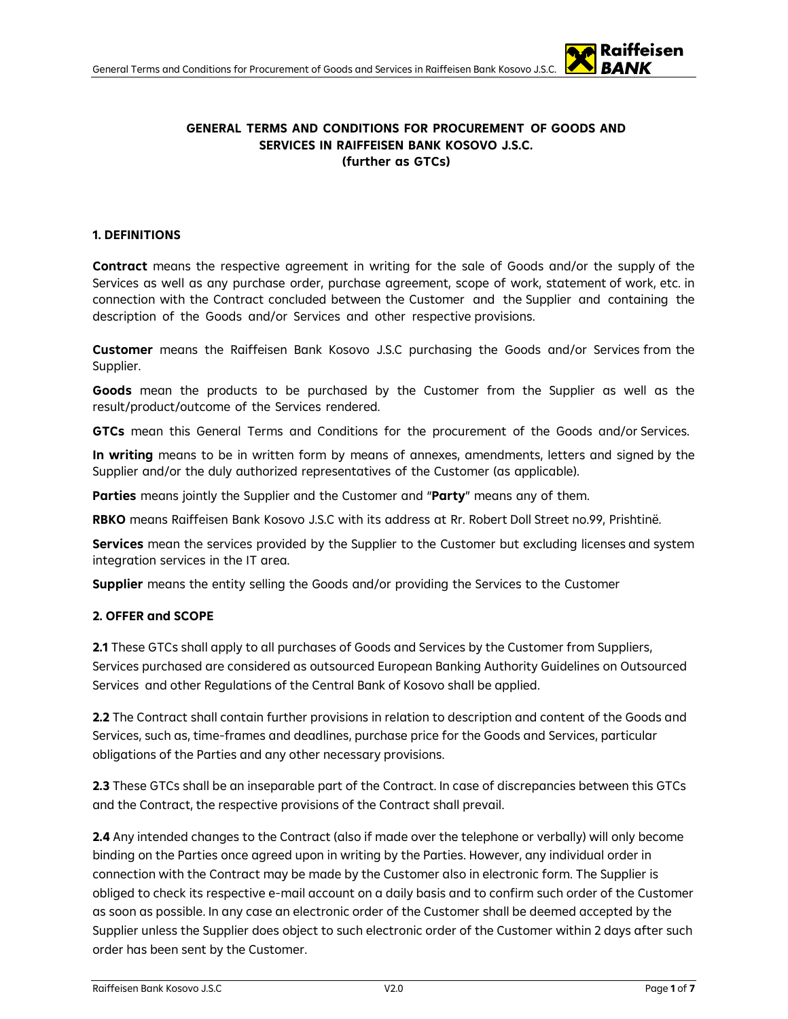#### **GENERAL TERMS AND CONDITIONS FOR PROCUREMENT OF GOODS AND SERVICES IN RAIFFEISEN BANK KOSOVO J.S.C. (further as GTCs)**

#### **1. DEFINITIONS**

**Contract** means the respective agreement in writing for the sale of Goods and/or the supply of the Services as well as any purchase order, purchase agreement, scope of work, statement of work, etc. in connection with the Contract concluded between the Customer and the Supplier and containing the description of the Goods and/or Services and other respective provisions.

**Customer** means the Raiffeisen Bank Kosovo J.S.C purchasing the Goods and/or Services from the Supplier.

**Goods** mean the products to be purchased by the Customer from the Supplier as well as the result/product/outcome of the Services rendered.

**GTCs** mean this General Terms and Conditions for the procurement of the Goods and/or Services.

**In writing** means to be in written form by means of annexes, amendments, letters and signed by the Supplier and/or the duly authorized representatives of the Customer (as applicable).

**Parties** means jointly the Supplier and the Customer and "**Party**" means any of them.

**RBKO** means Raiffeisen Bank Kosovo J.S.C with its address at Rr. Robert Doll Street no.99, Prishtinë.

**Services** mean the services provided by the Supplier to the Customer but excluding licenses and system integration services in the IT area.

**Supplier** means the entity selling the Goods and/or providing the Services to the Customer

### **2. OFFER and SCOPE**

**2.1** These GTCs shall apply to all purchases of Goods and Services by the Customer from Suppliers, Services purchased are considered as outsourced European Banking Authority Guidelines on Outsourced Services and other Regulations of the Central Bank of Kosovo shall be applied.

**2.2** The Contract shall contain further provisions in relation to description and content of the Goods and Services, such as, time-frames and deadlines, purchase price for the Goods and Services, particular obligations of the Parties and any other necessary provisions.

**2.3** These GTCs shall be an inseparable part of the Contract. In case of discrepancies between this GTCs and the Contract, the respective provisions of the Contract shall prevail.

**2.4** Any intended changes to the Contract (also if made over the telephone or verbally) will only become binding on the Parties once agreed upon in writing by the Parties. However, any individual order in connection with the Contract may be made by the Customer also in electronic form. The Supplier is obliged to check its respective e-mail account on a daily basis and to confirm such order of the Customer as soon as possible. In any case an electronic order of the Customer shall be deemed accepted by the Supplier unless the Supplier does object to such electronic order of the Customer within 2 days after such order has been sent by the Customer.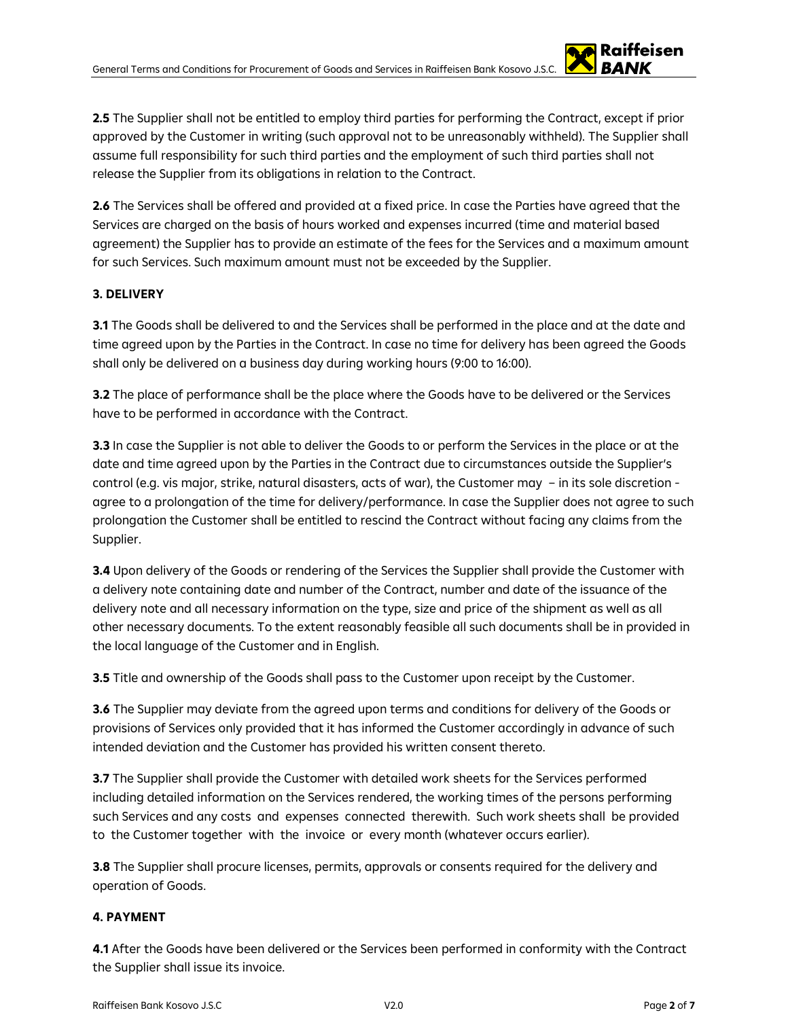**2.5** The Supplier shall not be entitled to employ third parties for performing the Contract, except if prior approved by the Customer in writing (such approval not to be unreasonably withheld). The Supplier shall assume full responsibility for such third parties and the employment of such third parties shall not release the Supplier from its obligations in relation to the Contract.

**2.6** The Services shall be offered and provided at a fixed price. In case the Parties have agreed that the Services are charged on the basis of hours worked and expenses incurred (time and material based agreement) the Supplier has to provide an estimate of the fees for the Services and a maximum amount for such Services. Such maximum amount must not be exceeded by the Supplier.

## **3. DELIVERY**

**3.1** The Goods shall be delivered to and the Services shall be performed in the place and at the date and time agreed upon by the Parties in the Contract. In case no time for delivery has been agreed the Goods shall only be delivered on a business day during working hours (9:00 to 16:00).

**3.2** The place of performance shall be the place where the Goods have to be delivered or the Services have to be performed in accordance with the Contract.

**3.3** In case the Supplier is not able to deliver the Goods to or perform the Services in the place or at the date and time agreed upon by the Parties in the Contract due to circumstances outside the Supplier's control (e.g. vis major, strike, natural disasters, acts of war), the Customer may – in its sole discretion agree to a prolongation of the time for delivery/performance. In case the Supplier does not agree to such prolongation the Customer shall be entitled to rescind the Contract without facing any claims from the Supplier.

**3.4** Upon delivery of the Goods or rendering of the Services the Supplier shall provide the Customer with a delivery note containing date and number of the Contract, number and date of the issuance of the delivery note and all necessary information on the type, size and price of the shipment as well as all other necessary documents. To the extent reasonably feasible all such documents shall be in provided in the local language of the Customer and in English.

**3.5** Title and ownership of the Goods shall pass to the Customer upon receipt by the Customer.

**3.6** The Supplier may deviate from the agreed upon terms and conditions for delivery of the Goods or provisions of Services only provided that it has informed the Customer accordingly in advance of such intended deviation and the Customer has provided his written consent thereto.

**3.7** The Supplier shall provide the Customer with detailed work sheets for the Services performed including detailed information on the Services rendered, the working times of the persons performing such Services and any costs and expenses connected therewith. Such work sheets shall be provided to the Customer together with the invoice or every month (whatever occurs earlier).

**3.8** The Supplier shall procure licenses, permits, approvals or consents required for the delivery and operation of Goods.

### **4. PAYMENT**

**4.1** After the Goods have been delivered or the Services been performed in conformity with the Contract the Supplier shall issue its invoice.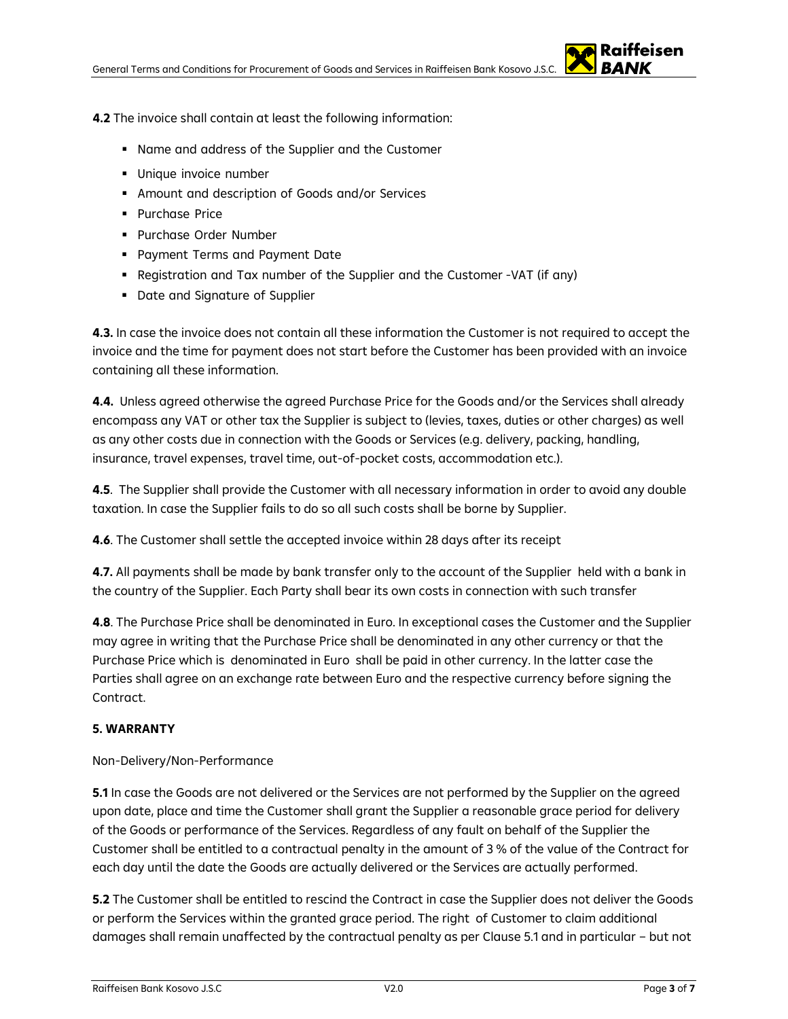

**4.2** The invoice shall contain at least the following information:

- Name and address of the Supplier and the Customer
- Unique invoice number
- Amount and description of Goods and/or Services
- **Purchase Price**
- **Purchase Order Number**
- **Payment Terms and Payment Date**
- Registration and Tax number of the Supplier and the Customer -VAT (if any)
- **Date and Signature of Supplier**

**4.3.** In case the invoice does not contain all these information the Customer is not required to accept the invoice and the time for payment does not start before the Customer has been provided with an invoice containing all these information.

**4.4.** Unless agreed otherwise the agreed Purchase Price for the Goods and/or the Services shall already encompass any VAT or other tax the Supplier is subject to (levies, taxes, duties or other charges) as well as any other costs due in connection with the Goods or Services (e.g. delivery, packing, handling, insurance, travel expenses, travel time, out-of-pocket costs, accommodation etc.).

**4.5**. The Supplier shall provide the Customer with all necessary information in order to avoid any double taxation. In case the Supplier fails to do so all such costs shall be borne by Supplier.

**4.6**. The Customer shall settle the accepted invoice within 28 days after its receipt

**4.7.** All payments shall be made by bank transfer only to the account of the Supplier held with a bank in the country of the Supplier. Each Party shall bear its own costs in connection with such transfer

**4.8**. The Purchase Price shall be denominated in Euro. In exceptional cases the Customer and the Supplier may agree in writing that the Purchase Price shall be denominated in any other currency or that the Purchase Price which is denominated in Euro shall be paid in other currency. In the latter case the Parties shall agree on an exchange rate between Euro and the respective currency before signing the Contract.

# **5. WARRANTY**

Non-Delivery/Non-Performance

**5.1** In case the Goods are not delivered or the Services are not performed by the Supplier on the agreed upon date, place and time the Customer shall grant the Supplier a reasonable grace period for delivery of the Goods or performance of the Services. Regardless of any fault on behalf of the Supplier the Customer shall be entitled to a contractual penalty in the amount of 3 % of the value of the Contract for each day until the date the Goods are actually delivered or the Services are actually performed.

**5.2** The Customer shall be entitled to rescind the Contract in case the Supplier does not deliver the Goods or perform the Services within the granted grace period. The right of Customer to claim additional damages shall remain unaffected by the contractual penalty as per Clause 5.1 and in particular – but not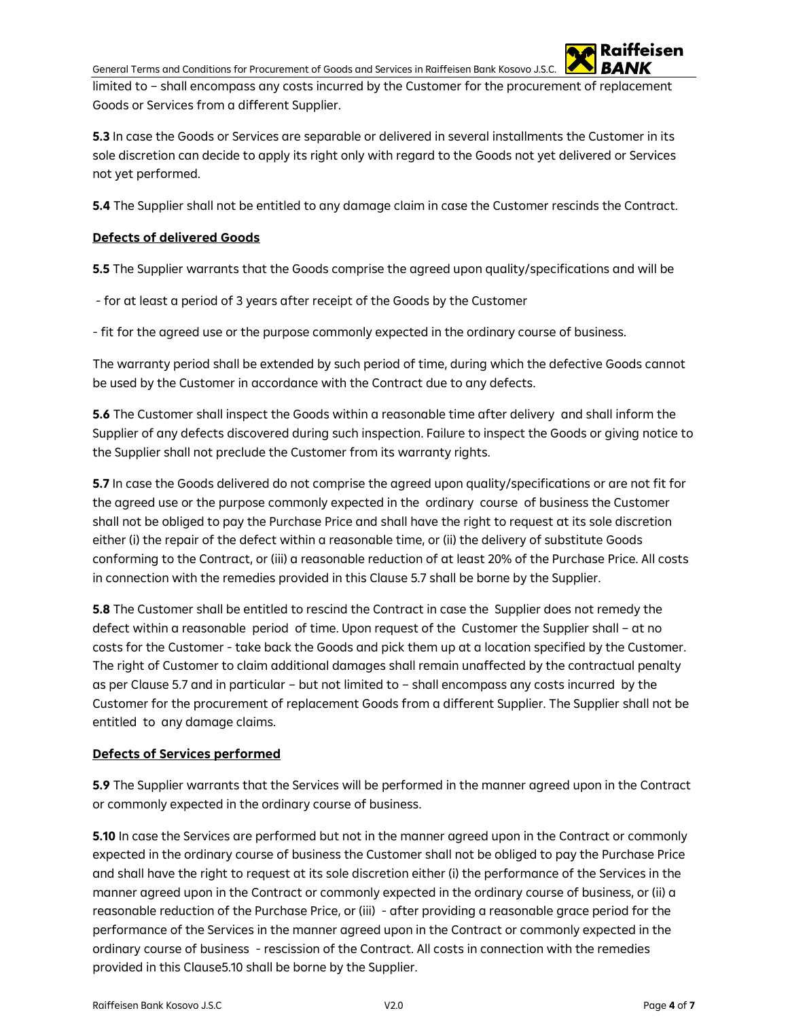General Terms and Conditions for Procurement of Goods and Services in Raiffeisen Bank Kosovo J.S.C.

limited to – shall encompass any costs incurred by the Customer for the procurement of replacement Goods or Services from a different Supplier.

**5.3** In case the Goods or Services are separable or delivered in several installments the Customer in its sole discretion can decide to apply its right only with regard to the Goods not yet delivered or Services not yet performed.

**5.4** The Supplier shall not be entitled to any damage claim in case the Customer rescinds the Contract.

# **Defects of delivered Goods**

**5.5** The Supplier warrants that the Goods comprise the agreed upon quality/specifications and will be

- for at least a period of 3 years after receipt of the Goods by the Customer

- fit for the agreed use or the purpose commonly expected in the ordinary course of business.

The warranty period shall be extended by such period of time, during which the defective Goods cannot be used by the Customer in accordance with the Contract due to any defects.

**5.6** The Customer shall inspect the Goods within a reasonable time after delivery and shall inform the Supplier of any defects discovered during such inspection. Failure to inspect the Goods or giving notice to the Supplier shall not preclude the Customer from its warranty rights.

**5.7** In case the Goods delivered do not comprise the agreed upon quality/specifications or are not fit for the agreed use or the purpose commonly expected in the ordinary course of business the Customer shall not be obliged to pay the Purchase Price and shall have the right to request at its sole discretion either (i) the repair of the defect within a reasonable time, or (ii) the delivery of substitute Goods conforming to the Contract, or (iii) a reasonable reduction of at least 20% of the Purchase Price. All costs in connection with the remedies provided in this Clause 5.7 shall be borne by the Supplier.

**5.8** The Customer shall be entitled to rescind the Contract in case the Supplier does not remedy the defect within a reasonable period of time. Upon request of the Customer the Supplier shall – at no costs for the Customer - take back the Goods and pick them up at a location specified by the Customer. The right of Customer to claim additional damages shall remain unaffected by the contractual penalty as per Clause 5.7 and in particular – but not limited to – shall encompass any costs incurred by the Customer for the procurement of replacement Goods from a different Supplier. The Supplier shall not be entitled to any damage claims.

### **Defects of Services performed**

**5.9** The Supplier warrants that the Services will be performed in the manner agreed upon in the Contract or commonly expected in the ordinary course of business.

**5.10** In case the Services are performed but not in the manner agreed upon in the Contract or commonly expected in the ordinary course of business the Customer shall not be obliged to pay the Purchase Price and shall have the right to request at its sole discretion either (i) the performance of the Services in the manner agreed upon in the Contract or commonly expected in the ordinary course of business, or (ii) a reasonable reduction of the Purchase Price, or (iii) - after providing a reasonable grace period for the performance of the Services in the manner agreed upon in the Contract or commonly expected in the ordinary course of business - rescission of the Contract. All costs in connection with the remedies provided in this Clause5.10 shall be borne by the Supplier.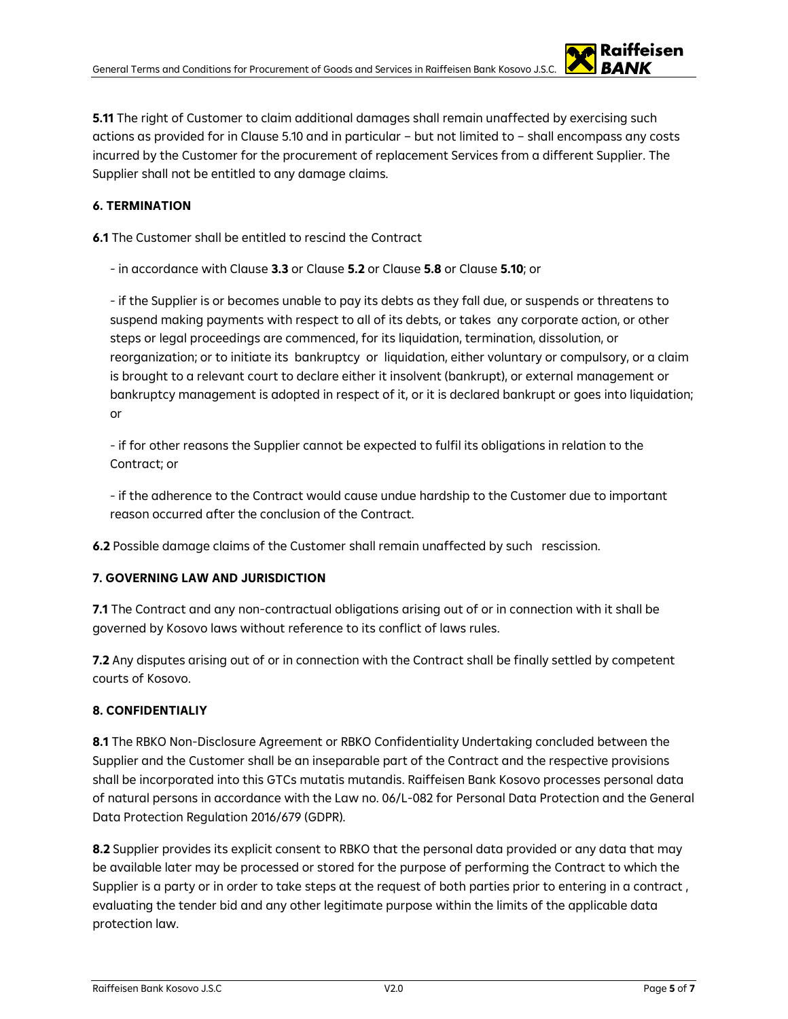**5.11** The right of Customer to claim additional damages shall remain unaffected by exercising such actions as provided for in Clause 5.10 and in particular – but not limited to – shall encompass any costs incurred by the Customer for the procurement of replacement Services from a different Supplier. The Supplier shall not be entitled to any damage claims.

# **6. TERMINATION**

**6.1** The Customer shall be entitled to rescind the Contract

- in accordance with Clause **3.3** or Clause **5.2** or Clause **5.8** or Clause **5.10**; or

- if the Supplier is or becomes unable to pay its debts as they fall due, or suspends or threatens to suspend making payments with respect to all of its debts, or takes any corporate action, or other steps or legal proceedings are commenced, for its liquidation, termination, dissolution, or reorganization; or to initiate its bankruptcy or liquidation, either voluntary or compulsory, or a claim is brought to a relevant court to declare either it insolvent (bankrupt), or external management or bankruptcy management is adopted in respect of it, or it is declared bankrupt or goes into liquidation; or

- if for other reasons the Supplier cannot be expected to fulfil its obligations in relation to the Contract; or

- if the adherence to the Contract would cause undue hardship to the Customer due to important reason occurred after the conclusion of the Contract.

**6.2** Possible damage claims of the Customer shall remain unaffected by such rescission.

# **7. GOVERNING LAW AND JURISDICTION**

**7.1** The Contract and any non-contractual obligations arising out of or in connection with it shall be governed by Kosovo laws without reference to its conflict of laws rules.

**7.2** Any disputes arising out of or in connection with the Contract shall be finally settled by competent courts of Kosovo.

# **8. CONFIDENTIALIY**

**8.1** The RBKO Non-Disclosure Agreement or RBKO Confidentiality Undertaking concluded between the Supplier and the Customer shall be an inseparable part of the Contract and the respective provisions shall be incorporated into this GTCs mutatis mutandis. Raiffeisen Bank Kosovo processes personal data of natural persons in accordance with the Law no. 06/L-082 for Personal Data Protection and the General Data Protection Regulation 2016/679 (GDPR).

**8.2** Supplier provides its explicit consent to RBKO that the personal data provided or any data that may be available later may be processed or stored for the purpose of performing the Contract to which the Supplier is a party or in order to take steps at the request of both parties prior to entering in a contract , evaluating the tender bid and any other legitimate purpose within the limits of the applicable data protection law.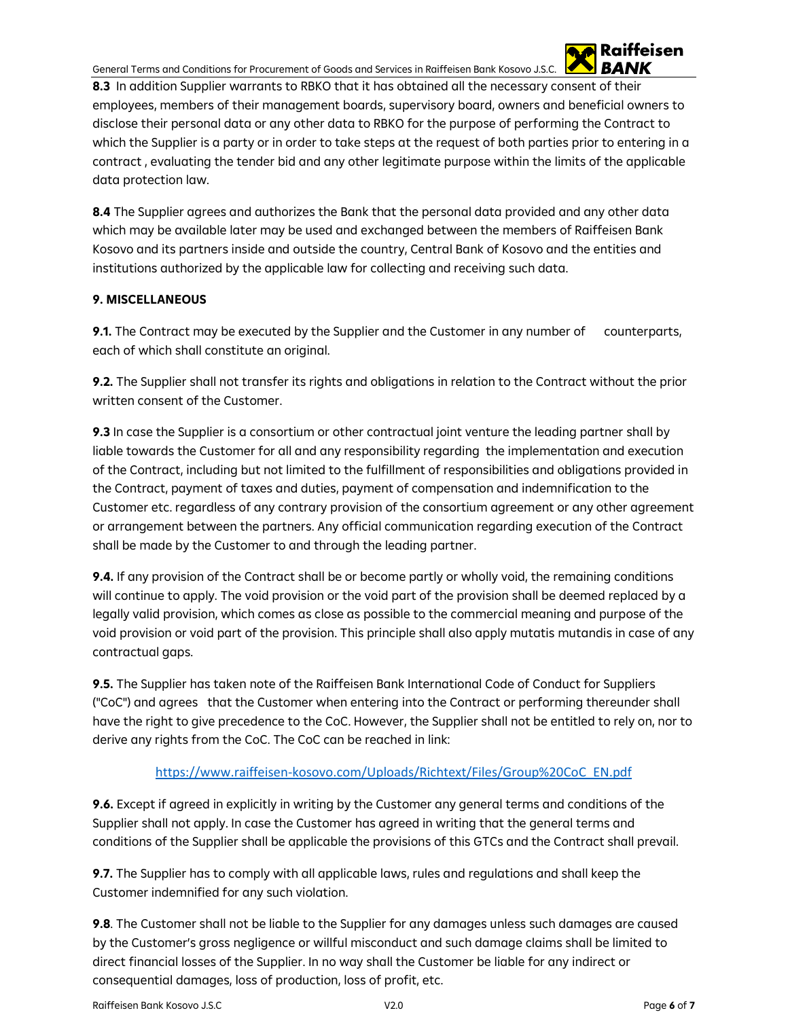General Terms and Conditions for Procurement of Goods and Services in Raiffeisen Bank Kosovo J.S.C.

**8.3** In addition Supplier warrants to RBKO that it has obtained all the necessary consent of their employees, members of their management boards, supervisory board, owners and beneficial owners to disclose their personal data or any other data to RBKO for the purpose of performing the Contract to which the Supplier is a party or in order to take steps at the request of both parties prior to entering in a contract , evaluating the tender bid and any other legitimate purpose within the limits of the applicable data protection law.

**8.4** The Supplier agrees and authorizes the Bank that the personal data provided and any other data which may be available later may be used and exchanged between the members of Raiffeisen Bank Kosovo and its partners inside and outside the country, Central Bank of Kosovo and the entities and institutions authorized by the applicable law for collecting and receiving such data.

# **9. MISCELLANEOUS**

**9.1.** The Contract may be executed by the Supplier and the Customer in any number of counterparts, each of which shall constitute an original.

**9.2.** The Supplier shall not transfer its rights and obligations in relation to the Contract without the prior written consent of the Customer.

**9.3** In case the Supplier is a consortium or other contractual joint venture the leading partner shall by liable towards the Customer for all and any responsibility regarding the implementation and execution of the Contract, including but not limited to the fulfillment of responsibilities and obligations provided in the Contract, payment of taxes and duties, payment of compensation and indemnification to the Customer etc. regardless of any contrary provision of the consortium agreement or any other agreement or arrangement between the partners. Any official communication regarding execution of the Contract shall be made by the Customer to and through the leading partner.

**9.4.** If any provision of the Contract shall be or become partly or wholly void, the remaining conditions will continue to apply. The void provision or the void part of the provision shall be deemed replaced by a legally valid provision, which comes as close as possible to the commercial meaning and purpose of the void provision or void part of the provision. This principle shall also apply mutatis mutandis in case of any contractual gaps.

**9.5.** The Supplier has taken note of the Raiffeisen Bank International Code of Conduct for Suppliers ("CoC") and agrees that the Customer when entering into the Contract or performing thereunder shall have the right to give precedence to the CoC. However, the Supplier shall not be entitled to rely on, nor to derive any rights from the CoC. The CoC can be reached in link:

# [https://www.raiffeisen-kosovo.com/Uploads/Richtext/Files/Group%20CoC\\_EN.pdf](https://www.raiffeisen-kosovo.com/Uploads/Richtext/Files/Group%20CoC_EN.pdf)

**9.6.** Except if agreed in explicitly in writing by the Customer any general terms and conditions of the Supplier shall not apply. In case the Customer has agreed in writing that the general terms and conditions of the Supplier shall be applicable the provisions of this GTCs and the Contract shall prevail.

**9.7.** The Supplier has to comply with all applicable laws, rules and regulations and shall keep the Customer indemnified for any such violation.

**9.8**. The Customer shall not be liable to the Supplier for any damages unless such damages are caused by the Customer's gross negligence or willful misconduct and such damage claims shall be limited to direct financial losses of the Supplier. In no way shall the Customer be liable for any indirect or consequential damages, loss of production, loss of profit, etc.